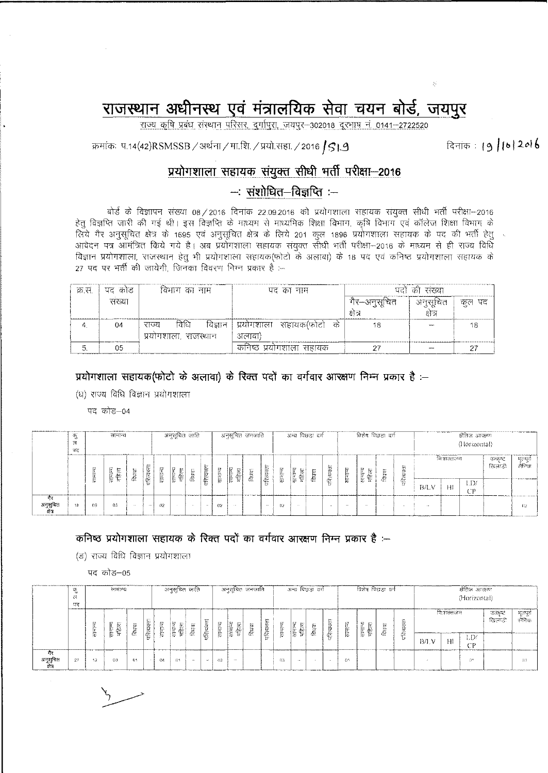## राजस्थान अधीनस्थ एवं मंत्रालयिक सेवा चयन बोर्ड, जयपुर

राज्य कृषि प्रबंध संस्थान परिसर, दुर्गापुरा, जयपुर-302018 दूरभाष नं. 0141-2722520

क्रमांकः प.14(42)RSMSSB / अर्थना / मा.शि. / प्रयो.सहा. / 2016 *S* J.S

## lA41~I~IIC11**'t15111Cf) tigCffi ~ ~** ~-2016

## **-: ~-~\$1~:-**

बोर्ड के विज्ञापन संख्या 08/2016 दिनांक 22.09.2016 को प्रयोगशाला सहायक संयुक्त सीधी भर्ती परीक्षा-2016 हेतु विज्ञप्ति जारी की गई थी। इस विज्ञप्ति के माध्यम से माध्यमिक शिक्षा विभाग, कृषि विभाग एवं कॉलेज शिक्षा विभाग के <u>लिये गैर अनुसूचित क्षेत्र के 1695 एवं अनुसूचित क्षेत्र के लिये 201 कुल 1896 प्रयोगशाला सहायक के पद की भर्ती हेतु</u> आवेदन पत्र आमंत्रित किये गये है। अब प्रयोगशाला सहायक संयुक्त सीधी भर्ती परीक्षा—2016 के माध्यम से ही राज्य विधि विज्ञान प्रयोगशाला, राजस्थान हेतु भी प्रयोगशाला सहायक(फोटो के अलावा) के 18 पद एवं कनिष्ठ प्रयोगशाला सहायक के  $27$  पद पर भर्ती की जायेगी, जिनका विवरण निम्न प्रकार है :--

| क्र स | पद कोड       | विभाग का नाम             | पद का नाम                      | पदों की संख्या |        |        |  |  |  |  |  |
|-------|--------------|--------------------------|--------------------------------|----------------|--------|--------|--|--|--|--|--|
|       | सख्या        |                          |                                | -गैर—अनुसूचित  | अनसचित | कुल पद |  |  |  |  |  |
|       |              |                          |                                | क्षेत्र        | क्षत्र |        |  |  |  |  |  |
|       | 04           | विधि<br>विज्ञान<br>राज्य | प्रयोगशाला सहायक(फोटो<br>- ਰਹੇ | 18             |        |        |  |  |  |  |  |
|       | ------------ | प्रयोगशाला. राजस्थान     | अलावा)                         |                |        |        |  |  |  |  |  |
|       | 05           |                          | कनिष्ठ प्रयोगशाला सहायक        |                |        |        |  |  |  |  |  |

**<sup>~</sup> ~~II** *:t* **11611fI <sup>t</sup> 1~ if)(1fiTcT <sup>~</sup> 3RYlTcIT) <sup>~</sup>** m tfGT em <sup>~</sup> 3ffialUT <sup>~</sup> <sup>~</sup> **t :-**

 $(u)$  राज्य विधि विज्ञान प्रयोगशाला

पद कोड़–04

|                          | 97<br>- 20<br>М<br>प्रद | सामान्य |                                     |          |                           |     | ंअनुसूचित जाति।   |        |            |                 |                                | -अनुसूचित जनजाति- |              |                  | अन्य पिछड़ा दर्ग        |              |                 |          | ঠিহাঁৰ নিতৃত্তা ক্ৰা |                           |                    | सैतिज आरक्षण<br>(Horizontal) |                                                   |     |                    |                    |  |  |
|--------------------------|-------------------------|---------|-------------------------------------|----------|---------------------------|-----|-------------------|--------|------------|-----------------|--------------------------------|-------------------|--------------|------------------|-------------------------|--------------|-----------------|----------|----------------------|---------------------------|--------------------|------------------------------|---------------------------------------------------|-----|--------------------|--------------------|--|--|
|                          |                         |         | に<br>ᄂ<br>la -<br>∘<br>∽<br>华<br>E. | 际<br>हि  | $1 - 1$<br>혺<br>ŧт<br>रिल | साम | R<br>ь<br>Ę<br>фe | ᢑ<br>Č | परित्यक्ता | 뜮               | w<br>ţ.<br>$\frac{1}{2}$<br>4% | 凒                 | Prest.<br>ίĔ | <b>A</b> .,<br>卮 | ь<br>$\sim$<br>समा<br>侳 | $\sim$<br>43 | 恝<br>¢z.<br>tx. | साम      | सामान्य<br>पहिला     | $L_{\rm max}$<br>it.<br>老 | ∽<br>٤L<br>s.<br>동 | <b>B/LV</b>                  | निःशक्तजन<br>,,,,,,,,,,,,,,,,,,,,,,,,,,,,,,<br>Ħŧ | LDL | उत्कृष्ट<br>ਕਿਰਾਟੀ | भूरापूर्व<br>सैनिक |  |  |
| गेर<br>अनुसुचित<br>होत्र | ---------<br>18         | 09      | -63                                 | $\cdots$ | $\cdots$                  | 02  |                   | .      | $\cdots$   | 02 <sub>2</sub> | <b>COLLEGE</b>                 |                   | $\cdots$     | 02               | $\cdots$                |              |                 | $\cdots$ | $\cdots$             | . .                       |                    |                              |                                                   | (PP |                    | -62                |  |  |

## <sup>~</sup> ~~~ll:tII611**fltillif) <sup>~</sup>** mtfGT em <sup>~</sup> 3ffialUT <sup>~</sup> <sup>~</sup> **t :-**

(ङ) राज्य विधि विज्ञान प्रयोगशाला

पद कोड–05

|                | रु<br>त्न<br>- धर<br><b><i>LIGHT AA VANILA</i></b> | सामान्य |                  |             |                 | अनुसूचित जाति । |                             |        |                                |         |             | -अनुसूचितः जनजाति |                                          |       | ासस्य विछाडा वर्ग      |   |          |                               | विशेष विछता वर्ग |        | होतिज आरक्षण<br>(Horizontal) |                                                                        |              |                    |                   |  |
|----------------|----------------------------------------------------|---------|------------------|-------------|-----------------|-----------------|-----------------------------|--------|--------------------------------|---------|-------------|-------------------|------------------------------------------|-------|------------------------|---|----------|-------------------------------|------------------|--------|------------------------------|------------------------------------------------------------------------|--------------|--------------------|-------------------|--|
|                |                                                    | 눈       | सामान्य<br>महिला | ∽<br>थिरावा | t.<br>ररित्यक्त | भामा-<br>रामा-  | $^{352}$<br>समान्य<br>महिला | 箍<br>Ā | <br>lan e-<br>ŀ۷<br>्<br>पश्चि | 틓       | Reliab<br>银 | 量                 | $\overline{\phantom{a}}$<br>汝<br>परिस्था | सम्मू | <b>AND</b><br>साम<br>盔 | Ë | रित्यक्स | 臣<br>$\overline{\phantom{a}}$ | सम्म<br>蛋        | 符<br>ē |                              | निःशक्तजन्त<br><b><i><u>Confederation of the Confederation</u></i></b> |              | उत्कब्द<br>ਗ੍ਰਿਲਾਈ | भूतपूर्व<br>सैनिक |  |
|                |                                                    |         |                  |             |                 |                 |                             |        |                                |         |             |                   |                                          |       |                        |   | ÷т       |                               |                  |        | B/LV                         | H1                                                                     | √QJ.<br>∩ (> |                    |                   |  |
| 179<br>क्षेत्र | 27                                                 | 12      | 03               | 01          |                 | 04              | Q <sub>1</sub>              | 15.0   | 15.6                           | $^{02}$ | 1.50        |                   |                                          | -93   | 10,00                  |   |          | -01                           |                  |        |                              |                                                                        | 51.5         |                    |                   |  |

दिनांक: 19 /16 2*0*16